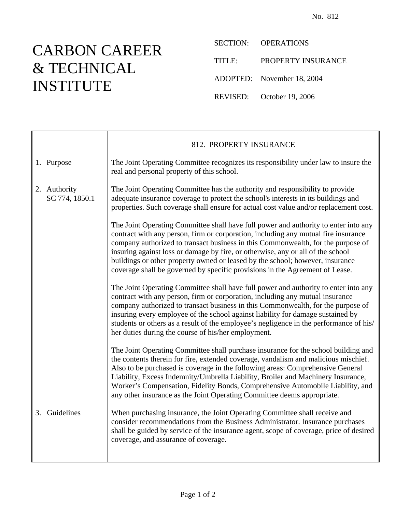## CARBON CAREER & TECHNICAL INSTITUTE

 $\mathsf{r}$ 

SECTION: OPERATIONS

TITLE: PROPERTY INSURANCE

ADOPTED: November 18, 2004

REVISED: October 19, 2006

|    |                                | 812. PROPERTY INSURANCE                                                                                                                                                                                                                                                                                                                                                                                                                                                                                           |
|----|--------------------------------|-------------------------------------------------------------------------------------------------------------------------------------------------------------------------------------------------------------------------------------------------------------------------------------------------------------------------------------------------------------------------------------------------------------------------------------------------------------------------------------------------------------------|
|    | 1. Purpose                     | The Joint Operating Committee recognizes its responsibility under law to insure the<br>real and personal property of this school.                                                                                                                                                                                                                                                                                                                                                                                 |
|    | 2. Authority<br>SC 774, 1850.1 | The Joint Operating Committee has the authority and responsibility to provide<br>adequate insurance coverage to protect the school's interests in its buildings and<br>properties. Such coverage shall ensure for actual cost value and/or replacement cost.                                                                                                                                                                                                                                                      |
|    |                                | The Joint Operating Committee shall have full power and authority to enter into any<br>contract with any person, firm or corporation, including any mutual fire insurance<br>company authorized to transact business in this Commonwealth, for the purpose of<br>insuring against loss or damage by fire, or otherwise, any or all of the school<br>buildings or other property owned or leased by the school; however, insurance<br>coverage shall be governed by specific provisions in the Agreement of Lease. |
|    |                                | The Joint Operating Committee shall have full power and authority to enter into any<br>contract with any person, firm or corporation, including any mutual insurance<br>company authorized to transact business in this Commonwealth, for the purpose of<br>insuring every employee of the school against liability for damage sustained by<br>students or others as a result of the employee's negligence in the performance of his/<br>her duties during the course of his/her employment.                      |
|    |                                | The Joint Operating Committee shall purchase insurance for the school building and<br>the contents therein for fire, extended coverage, vandalism and malicious mischief.<br>Also to be purchased is coverage in the following areas: Comprehensive General<br>Liability, Excess Indemnity/Umbrella Liability, Broiler and Machinery Insurance,<br>Worker's Compensation, Fidelity Bonds, Comprehensive Automobile Liability, and<br>any other insurance as the Joint Operating Committee deems appropriate.      |
| 3. | Guidelines                     | When purchasing insurance, the Joint Operating Committee shall receive and<br>consider recommendations from the Business Administrator. Insurance purchases<br>shall be guided by service of the insurance agent, scope of coverage, price of desired<br>coverage, and assurance of coverage.                                                                                                                                                                                                                     |
|    |                                |                                                                                                                                                                                                                                                                                                                                                                                                                                                                                                                   |